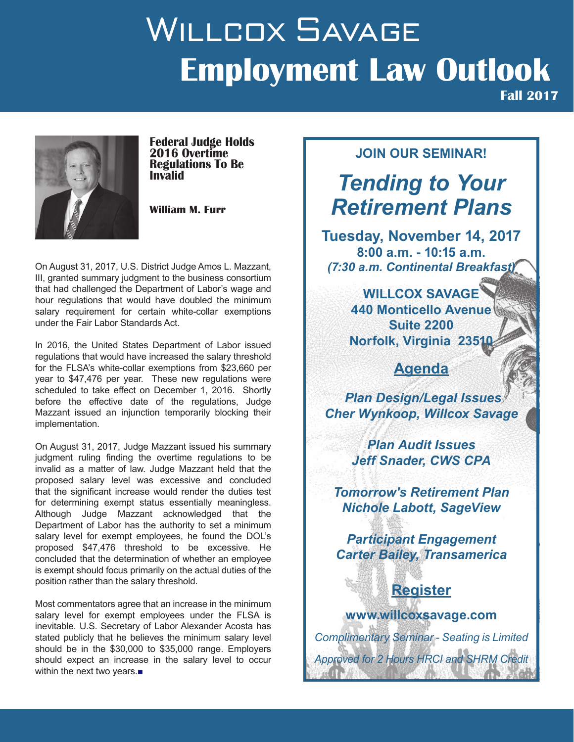# WILLCOX SAVAGE **Employment Law Outlook**



**Federal Judge Holds 2016 Overtime Regulations To Be Invalid**

**William M. Furr**

On August 31, 2017, U.S. District Judge Amos L. Mazzant, III, granted summary judgment to the business consortium that had challenged the Department of Labor's wage and hour regulations that would have doubled the minimum salary requirement for certain white-collar exemptions under the Fair Labor Standards Act.

In 2016, the United States Department of Labor issued regulations that would have increased the salary threshold for the FLSA's white-collar exemptions from \$23,660 per year to \$47,476 per year. These new regulations were scheduled to take effect on December 1, 2016. Shortly before the effective date of the regulations, Judge Mazzant issued an injunction temporarily blocking their implementation.

On August 31, 2017, Judge Mazzant issued his summary judgment ruling finding the overtime regulations to be invalid as a matter of law. Judge Mazzant held that the proposed salary level was excessive and concluded that the significant increase would render the duties test for determining exempt status essentially meaningless. Although Judge Mazzant acknowledged that the Department of Labor has the authority to set a minimum salary level for exempt employees, he found the DOL's proposed \$47,476 threshold to be excessive. He concluded that the determination of whether an employee is exempt should focus primarily on the actual duties of the position rather than the salary threshold.

Most commentators agree that an increase in the minimum salary level for exempt employees under the FLSA is inevitable. U.S. Secretary of Labor Alexander Acosta has stated publicly that he believes the minimum salary level should be in the \$30,000 to \$35,000 range. Employers should expect an increase in the salary level to occur within the next two years.■

#### **JOIN OUR SEMINAR!**

**Fall 2017**

# *Tending to Your Retirement Plans*

**Tuesday, November 14, 2017 8:00 a.m. - 10:15 a.m.** *(7:30 a.m. Continental Breakfast)*

> **WILLCOX SAVAGE 440 Monticello Avenue Suite 2200 Norfolk, Virginia 2351**

### **Agenda**

*Plan Design/Legal Issues Cher Wynkoop, Willcox Savage*

> *Plan Audit Issues Jeff Snader, CWS CPA*

*Tomorrow's Retirement Plan Nichole Labott, SageView* 

*Participant Engagement Carter Bailey, Transamerica*

### **Register**

**www.willcoxsavage.com** *Complimentary Seminar - Seating is Limited Approved for 2 Hours HRCI and SHRM Credit*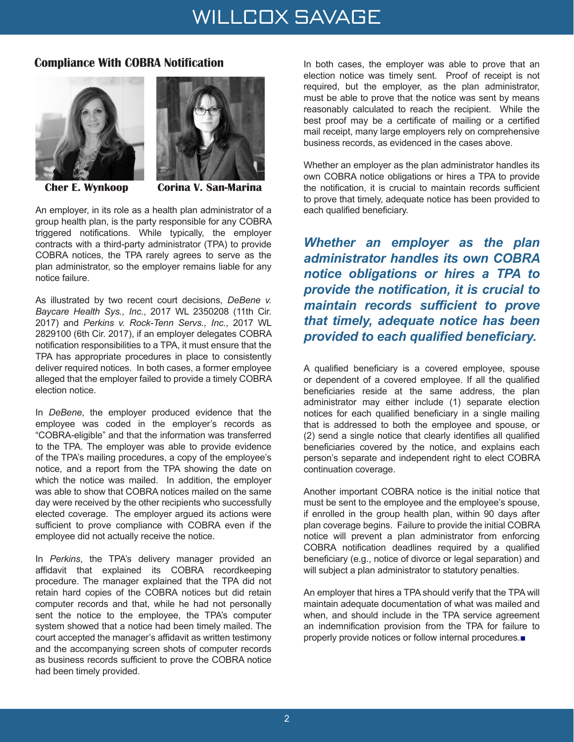### WILLCOX SAVAGE

#### **Compliance With COBRA Notification**





 **Cher E. Wynkoop Corina V. San-Marina**

An employer, in its role as a health plan administrator of a group health plan, is the party responsible for any COBRA triggered notifications. While typically, the employer contracts with a third-party administrator (TPA) to provide COBRA notices, the TPA rarely agrees to serve as the plan administrator, so the employer remains liable for any notice failure.

As illustrated by two recent court decisions, *DeBene v. Baycare Health Sys., Inc.*, 2017 WL 2350208 (11th Cir. 2017) and *Perkins v. Rock-Tenn Servs., Inc.*, 2017 WL 2829100 (6th Cir. 2017), if an employer delegates COBRA notification responsibilities to a TPA, it must ensure that the TPA has appropriate procedures in place to consistently deliver required notices. In both cases, a former employee alleged that the employer failed to provide a timely COBRA election notice.

In *DeBene*, the employer produced evidence that the employee was coded in the employer's records as "COBRA-eligible" and that the information was transferred to the TPA. The employer was able to provide evidence of the TPA's mailing procedures, a copy of the employee's notice, and a report from the TPA showing the date on which the notice was mailed. In addition, the employer was able to show that COBRA notices mailed on the same day were received by the other recipients who successfully elected coverage. The employer argued its actions were sufficient to prove compliance with COBRA even if the employee did not actually receive the notice.

In *Perkins*, the TPA's delivery manager provided an affidavit that explained its COBRA recordkeeping procedure. The manager explained that the TPA did not retain hard copies of the COBRA notices but did retain computer records and that, while he had not personally sent the notice to the employee, the TPA's computer system showed that a notice had been timely mailed. The court accepted the manager's affidavit as written testimony and the accompanying screen shots of computer records as business records sufficient to prove the COBRA notice had been timely provided.

In both cases, the employer was able to prove that an election notice was timely sent. Proof of receipt is not required, but the employer, as the plan administrator, must be able to prove that the notice was sent by means reasonably calculated to reach the recipient. While the best proof may be a certificate of mailing or a certified mail receipt, many large employers rely on comprehensive business records, as evidenced in the cases above.

Whether an employer as the plan administrator handles its own COBRA notice obligations or hires a TPA to provide the notification, it is crucial to maintain records sufficient to prove that timely, adequate notice has been provided to each qualified beneficiary.

*Whether an employer as the plan administrator handles its own COBRA notice obligations or hires a TPA to provide the notification, it is crucial to maintain records sufficient to prove that timely, adequate notice has been provided to each qualified beneficiary.*

A qualified beneficiary is a covered employee, spouse or dependent of a covered employee. If all the qualified beneficiaries reside at the same address, the plan administrator may either include (1) separate election notices for each qualified beneficiary in a single mailing that is addressed to both the employee and spouse, or (2) send a single notice that clearly identifies all qualified beneficiaries covered by the notice, and explains each person's separate and independent right to elect COBRA continuation coverage.

Another important COBRA notice is the initial notice that must be sent to the employee and the employee's spouse, if enrolled in the group health plan, within 90 days after plan coverage begins. Failure to provide the initial COBRA notice will prevent a plan administrator from enforcing COBRA notification deadlines required by a qualified beneficiary (e.g., notice of divorce or legal separation) and will subject a plan administrator to statutory penalties.

An employer that hires a TPA should verify that the TPA will maintain adequate documentation of what was mailed and when, and should include in the TPA service agreement an indemnification provision from the TPA for failure to properly provide notices or follow internal procedures.■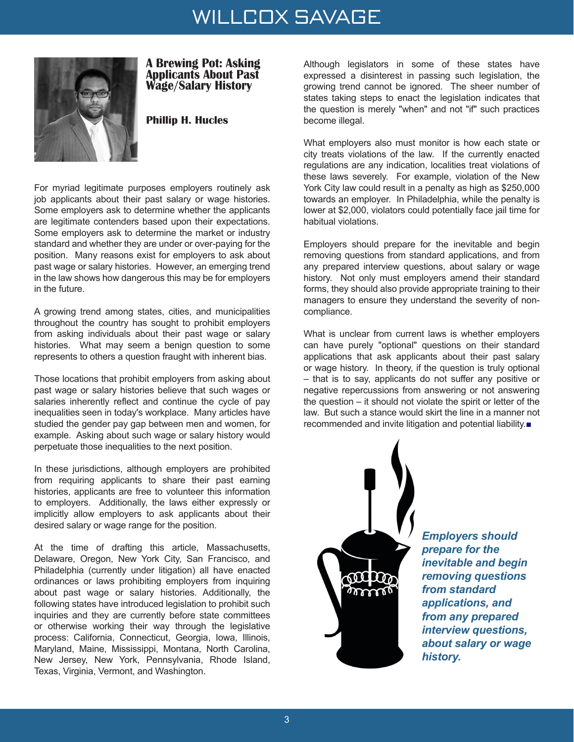## WILLCOX SAVAGE



#### **A Brewing Pot: Asking Applicants About Past Wage/Salary History**

#### **Phillip H. Hucles**

For myriad legitimate purposes employers routinely ask job applicants about their past salary or wage histories. Some employers ask to determine whether the applicants are legitimate contenders based upon their expectations. Some employers ask to determine the market or industry standard and whether they are under or over-paying for the position. Many reasons exist for employers to ask about past wage or salary histories. However, an emerging trend in the law shows how dangerous this may be for employers in the future.

A growing trend among states, cities, and municipalities throughout the country has sought to prohibit employers from asking individuals about their past wage or salary histories. What may seem a benign question to some represents to others a question fraught with inherent bias.

Those locations that prohibit employers from asking about past wage or salary histories believe that such wages or salaries inherently reflect and continue the cycle of pay inequalities seen in today's workplace. Many articles have studied the gender pay gap between men and women, for example. Asking about such wage or salary history would perpetuate those inequalities to the next position.

In these jurisdictions, although employers are prohibited from requiring applicants to share their past earning histories, applicants are free to volunteer this information to employers. Additionally, the laws either expressly or implicitly allow employers to ask applicants about their desired salary or wage range for the position.

At the time of drafting this article, Massachusetts, Delaware, Oregon, New York City, San Francisco, and Philadelphia (currently under litigation) all have enacted ordinances or laws prohibiting employers from inquiring about past wage or salary histories. Additionally, the following states have introduced legislation to prohibit such inquiries and they are currently before state committees or otherwise working their way through the legislative process: California, Connecticut, Georgia, Iowa, Illinois, Maryland, Maine, Mississippi, Montana, North Carolina, New Jersey, New York, Pennsylvania, Rhode Island, Texas, Virginia, Vermont, and Washington.

Although legislators in some of these states have expressed a disinterest in passing such legislation, the growing trend cannot be ignored. The sheer number of states taking steps to enact the legislation indicates that the question is merely "when" and not "if" such practices become illegal.

What employers also must monitor is how each state or city treats violations of the law. If the currently enacted regulations are any indication, localities treat violations of these laws severely. For example, violation of the New York City law could result in a penalty as high as \$250,000 towards an employer. In Philadelphia, while the penalty is lower at \$2,000, violators could potentially face jail time for habitual violations.

Employers should prepare for the inevitable and begin removing questions from standard applications, and from any prepared interview questions, about salary or wage history. Not only must employers amend their standard forms, they should also provide appropriate training to their managers to ensure they understand the severity of noncompliance.

What is unclear from current laws is whether employers can have purely "optional" questions on their standard applications that ask applicants about their past salary or wage history. In theory, if the question is truly optional – that is to say, applicants do not suffer any positive or negative repercussions from answering or not answering the question – it should not violate the spirit or letter of the law. But such a stance would skirt the line in a manner not recommended and invite litigation and potential liability.■



*Employers should prepare for the inevitable and begin removing questions from standard applications, and from any prepared interview questions, about salary or wage history.*